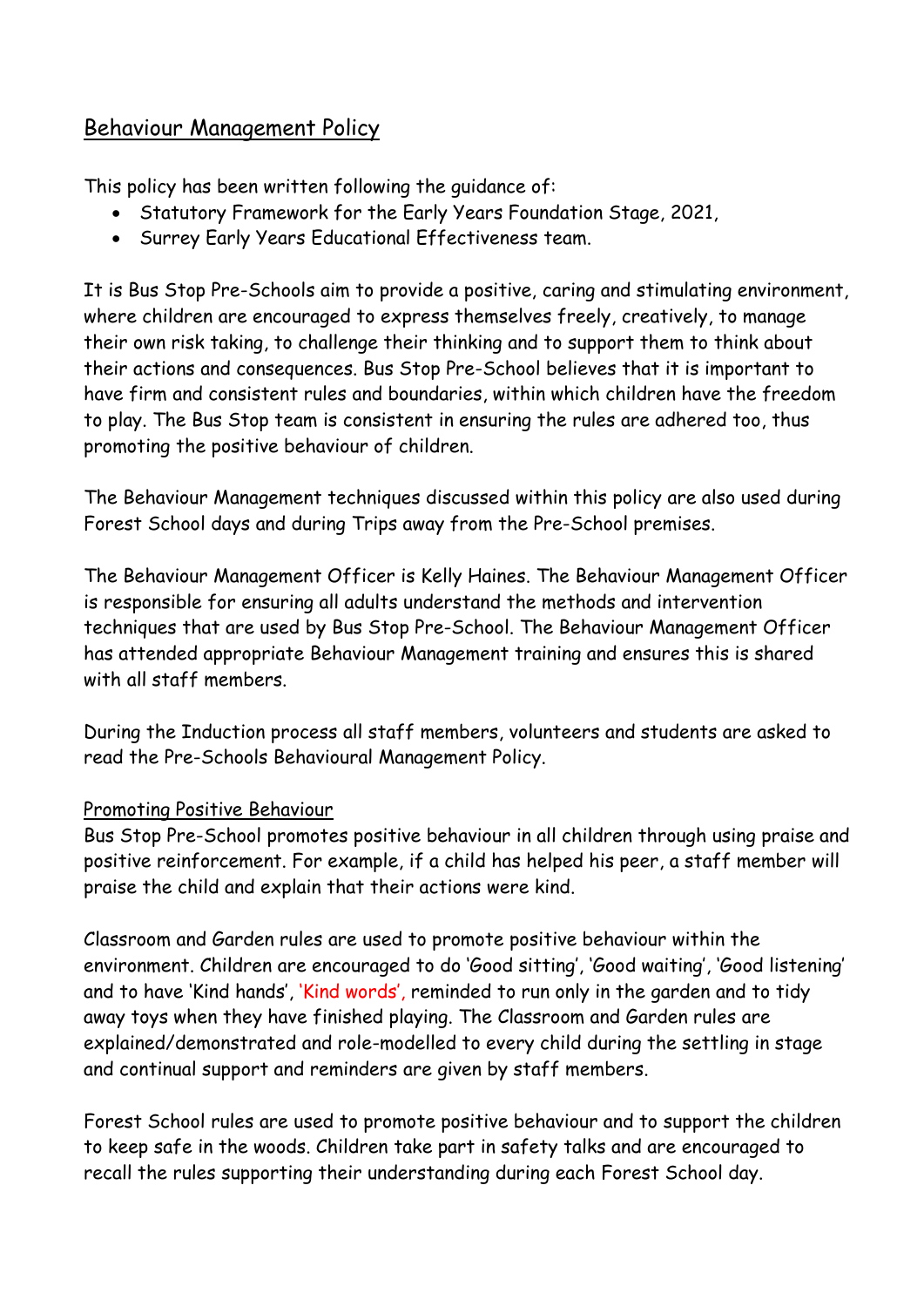# Behaviour Management Policy

This policy has been written following the guidance of:

- Statutory Framework for the Early Years Foundation Stage, 2021,
- Surrey Early Years Educational Effectiveness team.

It is Bus Stop Pre-Schools aim to provide a positive, caring and stimulating environment, where children are encouraged to express themselves freely, creatively, to manage their own risk taking, to challenge their thinking and to support them to think about their actions and consequences. Bus Stop Pre-School believes that it is important to have firm and consistent rules and boundaries, within which children have the freedom to play. The Bus Stop team is consistent in ensuring the rules are adhered too, thus promoting the positive behaviour of children.

The Behaviour Management techniques discussed within this policy are also used during Forest School days and during Trips away from the Pre-School premises.

The Behaviour Management Officer is Kelly Haines. The Behaviour Management Officer is responsible for ensuring all adults understand the methods and intervention techniques that are used by Bus Stop Pre-School. The Behaviour Management Officer has attended appropriate Behaviour Management training and ensures this is shared with all staff members.

During the Induction process all staff members, volunteers and students are asked to read the Pre-Schools Behavioural Management Policy.

# Promoting Positive Behaviour

Bus Stop Pre-School promotes positive behaviour in all children through using praise and positive reinforcement. For example, if a child has helped his peer, a staff member will praise the child and explain that their actions were kind.

Classroom and Garden rules are used to promote positive behaviour within the environment. Children are encouraged to do 'Good sitting', 'Good waiting', 'Good listening' and to have 'Kind hands', 'Kind words', reminded to run only in the garden and to tidy away toys when they have finished playing. The Classroom and Garden rules are explained/demonstrated and role-modelled to every child during the settling in stage and continual support and reminders are given by staff members.

Forest School rules are used to promote positive behaviour and to support the children to keep safe in the woods. Children take part in safety talks and are encouraged to recall the rules supporting their understanding during each Forest School day.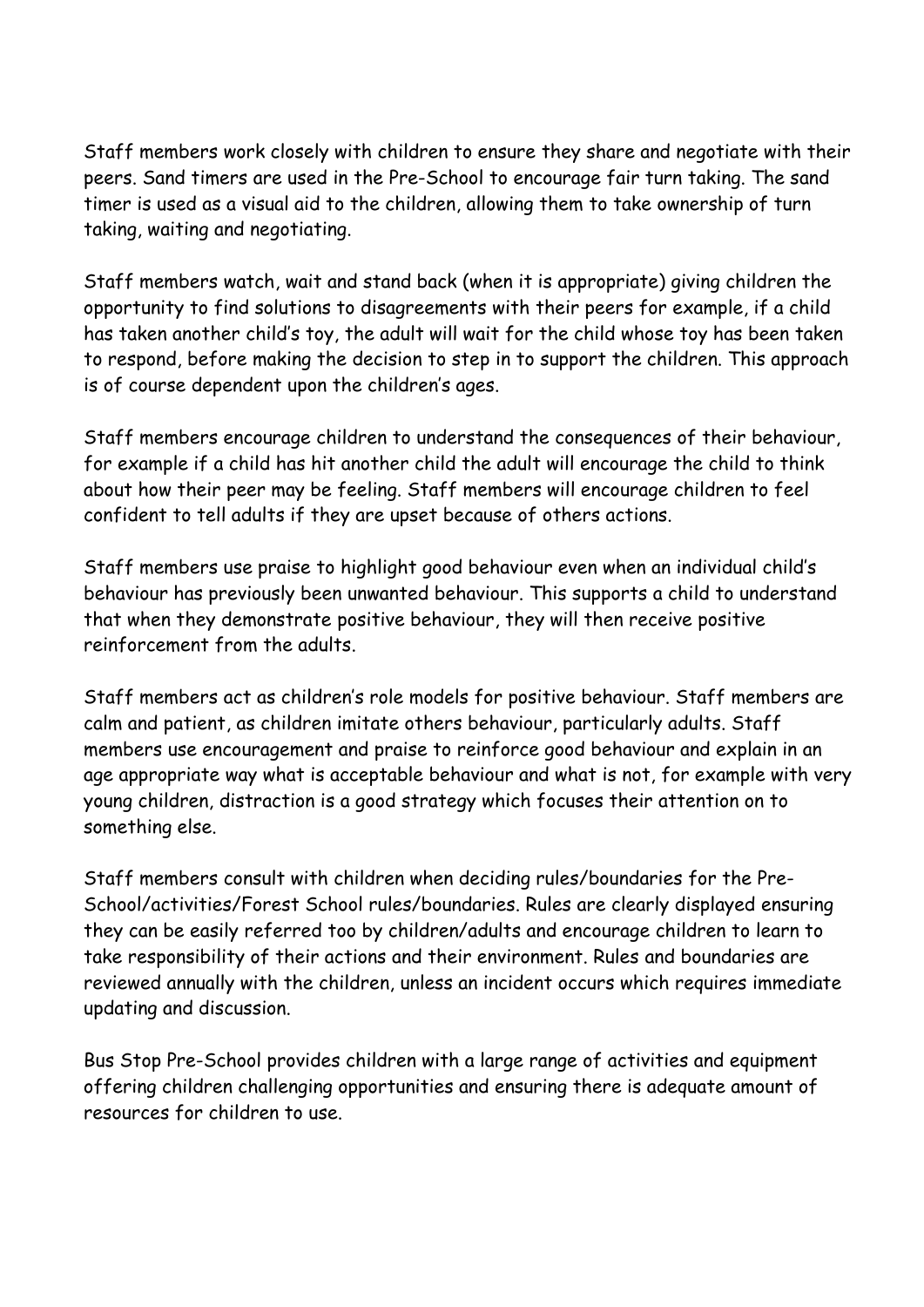Staff members work closely with children to ensure they share and negotiate with their peers. Sand timers are used in the Pre-School to encourage fair turn taking. The sand timer is used as a visual aid to the children, allowing them to take ownership of turn taking, waiting and negotiating.

Staff members watch, wait and stand back (when it is appropriate) giving children the opportunity to find solutions to disagreements with their peers for example, if a child has taken another child's toy, the adult will wait for the child whose toy has been taken to respond, before making the decision to step in to support the children. This approach is of course dependent upon the children's ages.

Staff members encourage children to understand the consequences of their behaviour, for example if a child has hit another child the adult will encourage the child to think about how their peer may be feeling. Staff members will encourage children to feel confident to tell adults if they are upset because of others actions.

Staff members use praise to highlight good behaviour even when an individual child's behaviour has previously been unwanted behaviour. This supports a child to understand that when they demonstrate positive behaviour, they will then receive positive reinforcement from the adults.

Staff members act as children's role models for positive behaviour. Staff members are calm and patient, as children imitate others behaviour, particularly adults. Staff members use encouragement and praise to reinforce good behaviour and explain in an age appropriate way what is acceptable behaviour and what is not, for example with very young children, distraction is a good strategy which focuses their attention on to something else.

Staff members consult with children when deciding rules/boundaries for the Pre-School/activities/Forest School rules/boundaries. Rules are clearly displayed ensuring they can be easily referred too by children/adults and encourage children to learn to take responsibility of their actions and their environment. Rules and boundaries are reviewed annually with the children, unless an incident occurs which requires immediate updating and discussion.

Bus Stop Pre-School provides children with a large range of activities and equipment offering children challenging opportunities and ensuring there is adequate amount of resources for children to use.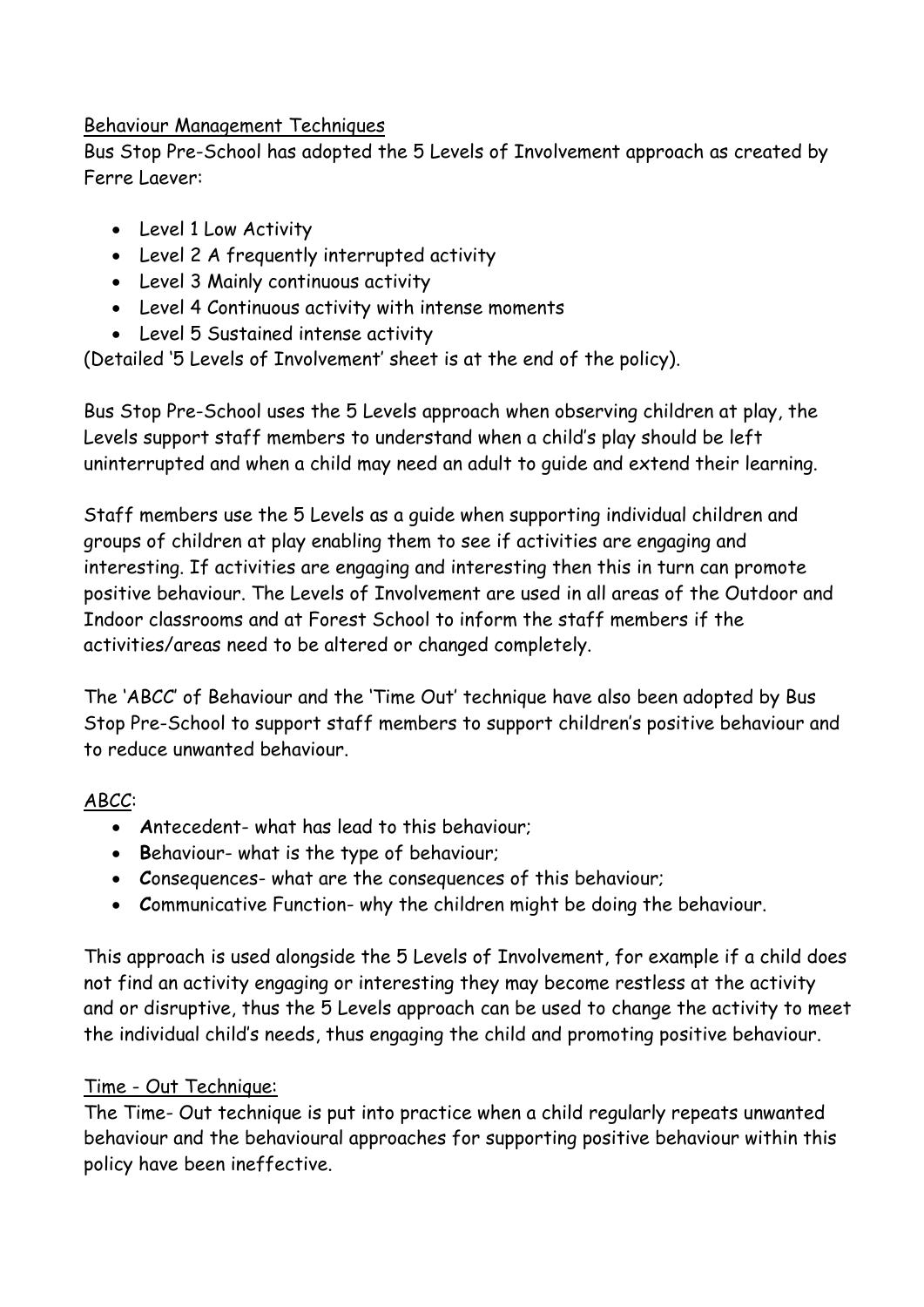#### Behaviour Management Techniques

Bus Stop Pre-School has adopted the 5 Levels of Involvement approach as created by Ferre Laever:

- Level 1 Low Activity
- Level 2 A frequently interrupted activity
- Level 3 Mainly continuous activity
- Level 4 Continuous activity with intense moments
- Level 5 Sustained intense activity

(Detailed '5 Levels of Involvement' sheet is at the end of the policy).

Bus Stop Pre-School uses the 5 Levels approach when observing children at play, the Levels support staff members to understand when a child's play should be left uninterrupted and when a child may need an adult to guide and extend their learning.

Staff members use the 5 Levels as a guide when supporting individual children and groups of children at play enabling them to see if activities are engaging and interesting. If activities are engaging and interesting then this in turn can promote positive behaviour. The Levels of Involvement are used in all areas of the Outdoor and Indoor classrooms and at Forest School to inform the staff members if the activities/areas need to be altered or changed completely.

The 'ABCC' of Behaviour and the 'Time Out' technique have also been adopted by Bus Stop Pre-School to support staff members to support children's positive behaviour and to reduce unwanted behaviour.

# ABCC:

- **A**ntecedent- what has lead to this behaviour;
- **B**ehaviour- what is the type of behaviour;
- **C**onsequences- what are the consequences of this behaviour;
- **C**ommunicative Function- why the children might be doing the behaviour.

This approach is used alongside the 5 Levels of Involvement, for example if a child does not find an activity engaging or interesting they may become restless at the activity and or disruptive, thus the 5 Levels approach can be used to change the activity to meet the individual child's needs, thus engaging the child and promoting positive behaviour.

# Time - Out Technique:

The Time- Out technique is put into practice when a child regularly repeats unwanted behaviour and the behavioural approaches for supporting positive behaviour within this policy have been ineffective.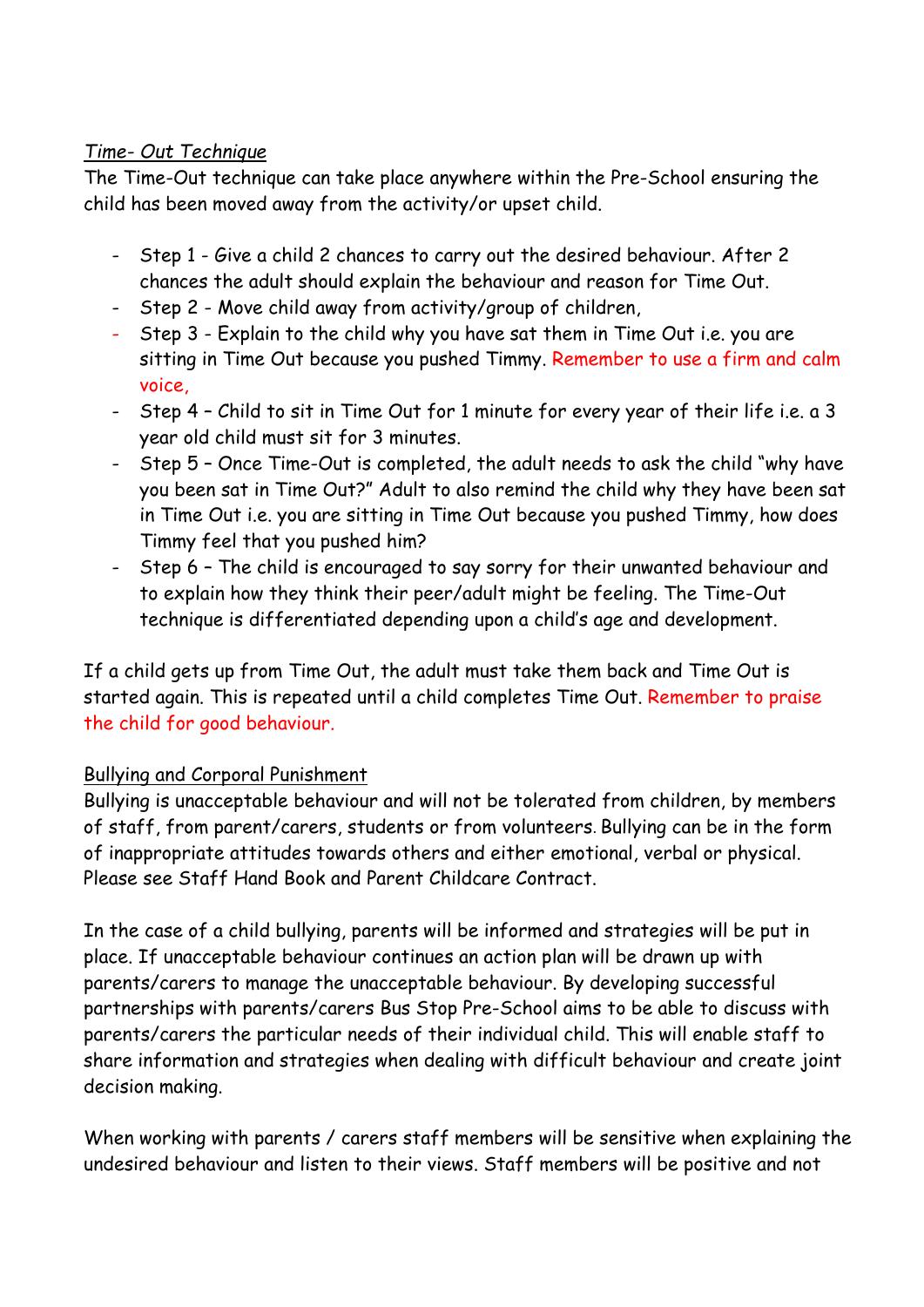#### *Time- Out Technique*

The Time-Out technique can take place anywhere within the Pre-School ensuring the child has been moved away from the activity/or upset child.

- Step 1 Give a child 2 chances to carry out the desired behaviour. After 2 chances the adult should explain the behaviour and reason for Time Out.
- Step 2 Move child away from activity/group of children,
- Step 3 Explain to the child why you have sat them in Time Out i.e. you are sitting in Time Out because you pushed Timmy. Remember to use a firm and calm voice,
- Step 4 Child to sit in Time Out for 1 minute for every year of their life i.e. a 3 year old child must sit for 3 minutes.
- Step 5 Once Time-Out is completed, the adult needs to ask the child "why have you been sat in Time Out?" Adult to also remind the child why they have been sat in Time Out i.e. you are sitting in Time Out because you pushed Timmy, how does Timmy feel that you pushed him?
- Step 6 The child is encouraged to say sorry for their unwanted behaviour and to explain how they think their peer/adult might be feeling. The Time-Out technique is differentiated depending upon a child's age and development.

If a child gets up from Time Out, the adult must take them back and Time Out is started again. This is repeated until a child completes Time Out. Remember to praise the child for good behaviour.

# Bullying and Corporal Punishment

Bullying is unacceptable behaviour and will not be tolerated from children, by members of staff, from parent/carers, students or from volunteers. Bullying can be in the form of inappropriate attitudes towards others and either emotional, verbal or physical. Please see Staff Hand Book and Parent Childcare Contract.

In the case of a child bullying, parents will be informed and strategies will be put in place. If unacceptable behaviour continues an action plan will be drawn up with parents/carers to manage the unacceptable behaviour. By developing successful partnerships with parents/carers Bus Stop Pre-School aims to be able to discuss with parents/carers the particular needs of their individual child. This will enable staff to share information and strategies when dealing with difficult behaviour and create joint decision making.

When working with parents / carers staff members will be sensitive when explaining the undesired behaviour and listen to their views. Staff members will be positive and not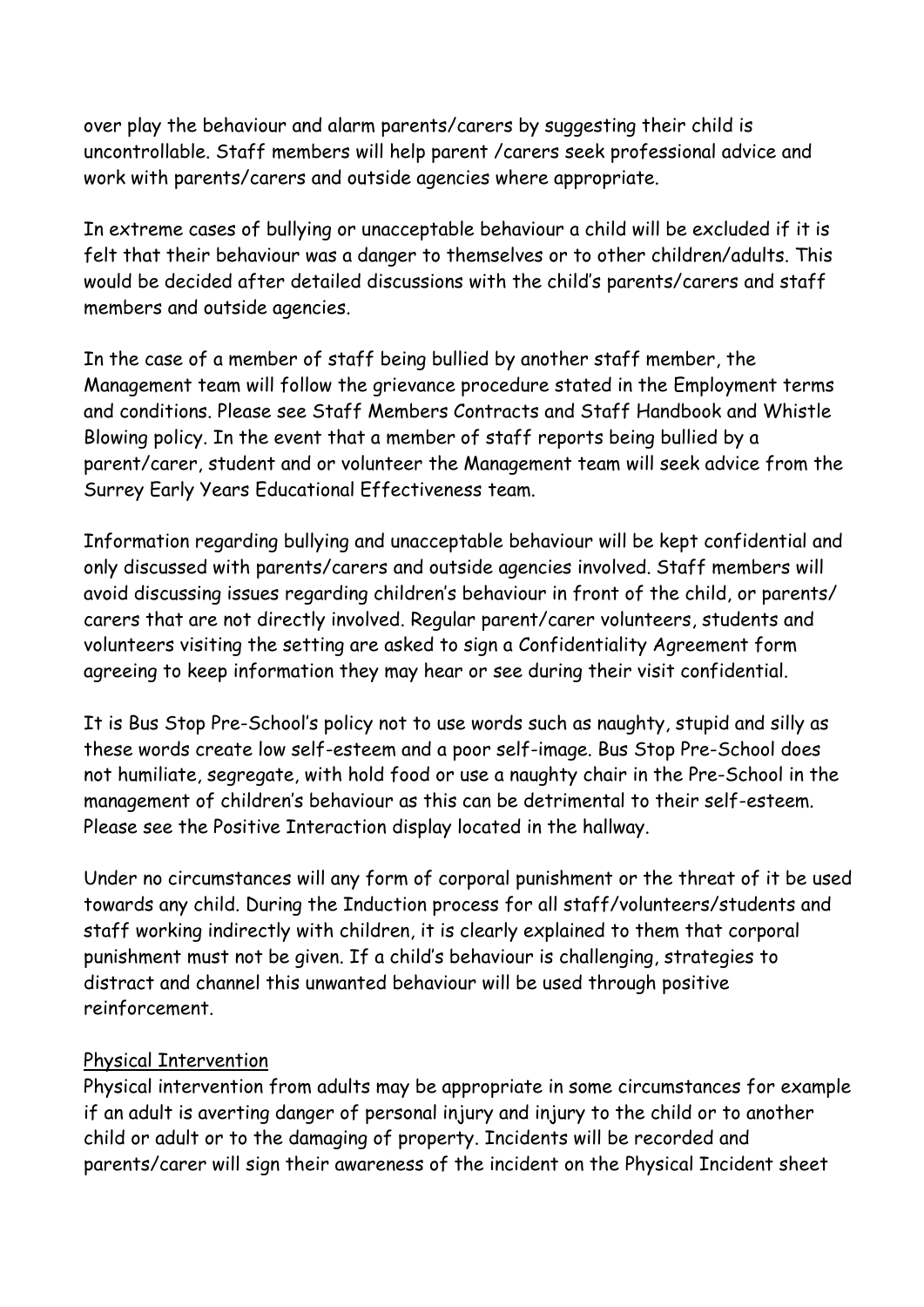over play the behaviour and alarm parents/carers by suggesting their child is uncontrollable. Staff members will help parent /carers seek professional advice and work with parents/carers and outside agencies where appropriate.

In extreme cases of bullying or unacceptable behaviour a child will be excluded if it is felt that their behaviour was a danger to themselves or to other children/adults. This would be decided after detailed discussions with the child's parents/carers and staff members and outside agencies.

In the case of a member of staff being bullied by another staff member, the Management team will follow the grievance procedure stated in the Employment terms and conditions. Please see Staff Members Contracts and Staff Handbook and Whistle Blowing policy. In the event that a member of staff reports being bullied by a parent/carer, student and or volunteer the Management team will seek advice from the Surrey Early Years Educational Effectiveness team.

Information regarding bullying and unacceptable behaviour will be kept confidential and only discussed with parents/carers and outside agencies involved. Staff members will avoid discussing issues regarding children's behaviour in front of the child, or parents/ carers that are not directly involved. Regular parent/carer volunteers, students and volunteers visiting the setting are asked to sign a Confidentiality Agreement form agreeing to keep information they may hear or see during their visit confidential.

It is Bus Stop Pre-School's policy not to use words such as naughty, stupid and silly as these words create low self-esteem and a poor self-image. Bus Stop Pre-School does not humiliate, segregate, with hold food or use a naughty chair in the Pre-School in the management of children's behaviour as this can be detrimental to their self-esteem. Please see the Positive Interaction display located in the hallway.

Under no circumstances will any form of corporal punishment or the threat of it be used towards any child. During the Induction process for all staff/volunteers/students and staff working indirectly with children, it is clearly explained to them that corporal punishment must not be given. If a child's behaviour is challenging, strategies to distract and channel this unwanted behaviour will be used through positive reinforcement.

#### Physical Intervention

Physical intervention from adults may be appropriate in some circumstances for example if an adult is averting danger of personal injury and injury to the child or to another child or adult or to the damaging of property. Incidents will be recorded and parents/carer will sign their awareness of the incident on the Physical Incident sheet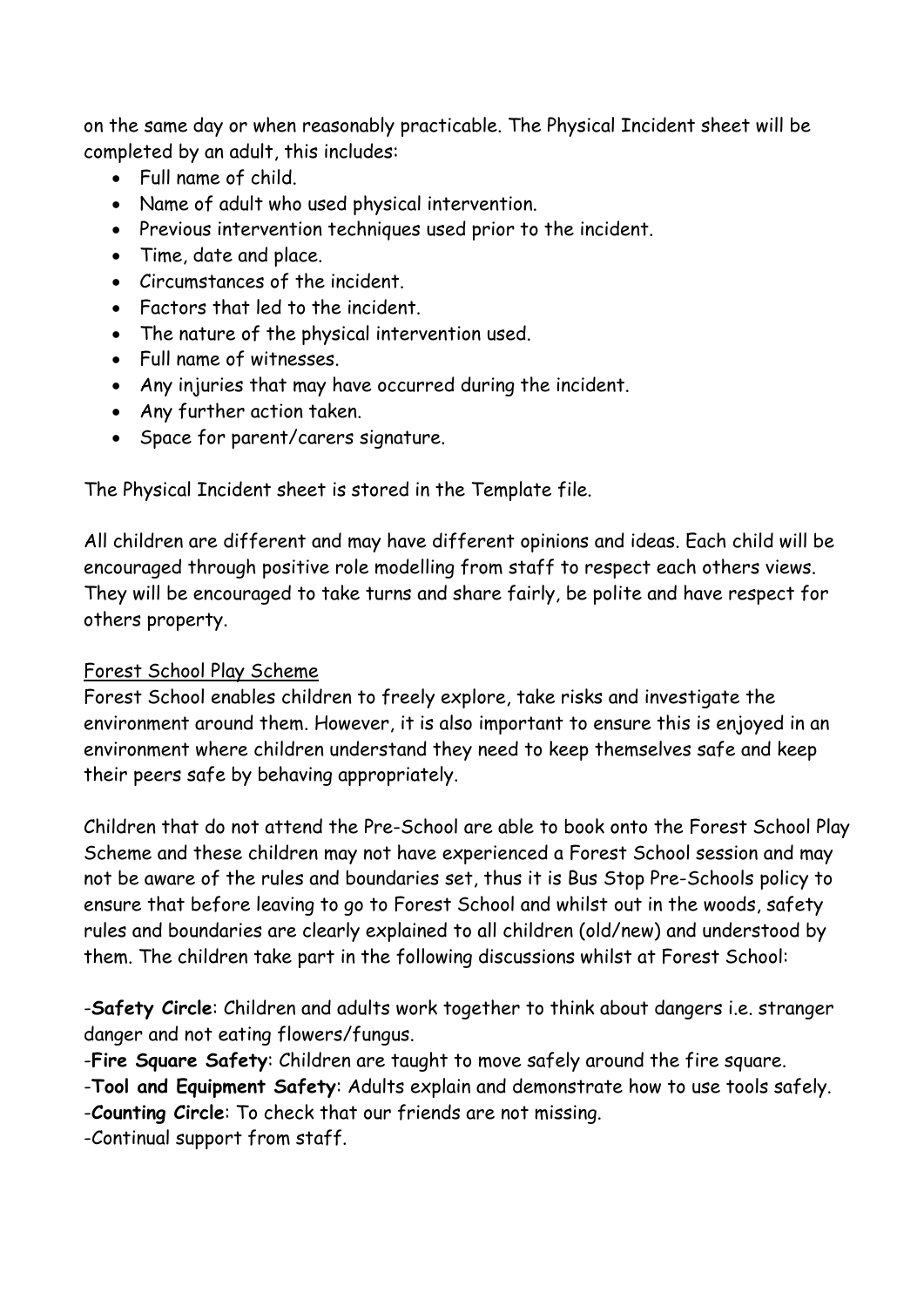on the same day or when reasonably practicable. The Physical Incident sheet will be completed by an adult, this includes:

- Full name of child.
- Name of adult who used physical intervention.
- Previous intervention techniques used prior to the incident.
- Time, date and place.
- Circumstances of the incident.
- Factors that led to the incident.
- The nature of the physical intervention used.
- Full name of witnesses.
- Any injuries that may have occurred during the incident.
- Any further action taken.
- Space for parent/carers signature.

The Physical Incident sheet is stored in the Template file.

All children are different and may have different opinions and ideas. Each child will be encouraged through positive role modelling from staff to respect each others views. They will be encouraged to take turns and share fairly, be polite and have respect for others property.

#### Forest School Play Scheme

Forest School enables children to freely explore, take risks and investigate the environment around them. However, it is also important to ensure this is enjoyed in an environment where children understand they need to keep themselves safe and keep their peers safe by behaving appropriately.

Children that do not attend the Pre-School are able to book onto the Forest School Play Scheme and these children may not have experienced a Forest School session and may not be aware of the rules and boundaries set, thus it is Bus Stop Pre-Schools policy to ensure that before leaving to go to Forest School and whilst out in the woods, safety rules and boundaries are clearly explained to all children (old/new) and understood by them. The children take part in the following discussions whilst at Forest School:

-**Safety Circle**: Children and adults work together to think about dangers i.e. stranger danger and not eating flowers/fungus.

-**Fire Square Safety**: Children are taught to move safely around the fire square.

-**Tool and Equipment Safety**: Adults explain and demonstrate how to use tools safely.

-**Counting Circle**: To check that our friends are not missing.

-Continual support from staff.